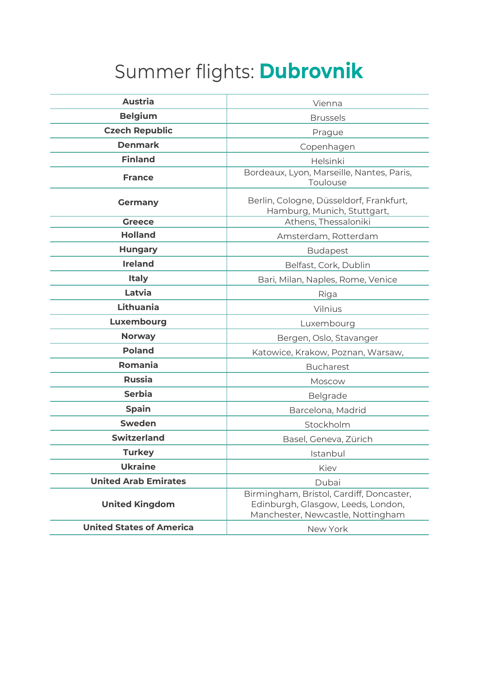## Summer flights: **Dubrovnik**

| <b>Austria</b>                  | Vienna                                                                                                              |
|---------------------------------|---------------------------------------------------------------------------------------------------------------------|
| <b>Belgium</b>                  | <b>Brussels</b>                                                                                                     |
| <b>Czech Republic</b>           | Prague                                                                                                              |
| <b>Denmark</b>                  | Copenhagen                                                                                                          |
| <b>Finland</b>                  | Helsinki                                                                                                            |
| <b>France</b>                   | Bordeaux, Lyon, Marseille, Nantes, Paris,<br>Toulouse                                                               |
| <b>Germany</b>                  | Berlin, Cologne, Düsseldorf, Frankfurt,<br>Hamburg, Munich, Stuttgart,                                              |
| <b>Greece</b>                   | Athens, Thessaloniki                                                                                                |
| <b>Holland</b>                  | Amsterdam, Rotterdam                                                                                                |
| <b>Hungary</b>                  | <b>Budapest</b>                                                                                                     |
| <b>Ireland</b>                  | Belfast, Cork, Dublin                                                                                               |
| <b>Italy</b>                    | Bari, Milan, Naples, Rome, Venice                                                                                   |
| Latvia                          | Riga                                                                                                                |
| Lithuania                       | Vilnius                                                                                                             |
| Luxembourg                      | Luxembourg                                                                                                          |
| <b>Norway</b>                   | Bergen, Oslo, Stavanger                                                                                             |
| <b>Poland</b>                   | Katowice, Krakow, Poznan, Warsaw,                                                                                   |
| Romania                         | <b>Bucharest</b>                                                                                                    |
| <b>Russia</b>                   | Moscow                                                                                                              |
| <b>Serbia</b>                   | Belgrade                                                                                                            |
| <b>Spain</b>                    | Barcelona, Madrid                                                                                                   |
| <b>Sweden</b>                   | Stockholm                                                                                                           |
| <b>Switzerland</b>              | Basel, Geneva, Zürich                                                                                               |
| <b>Turkey</b>                   | Istanbul                                                                                                            |
| <b>Ukraine</b>                  | Kiev                                                                                                                |
| <b>United Arab Emirates</b>     | Dubai                                                                                                               |
| <b>United Kingdom</b>           | Birmingham, Bristol, Cardiff, Doncaster,<br>Edinburgh, Glasgow, Leeds, London,<br>Manchester, Newcastle, Nottingham |
| <b>United States of America</b> | New York                                                                                                            |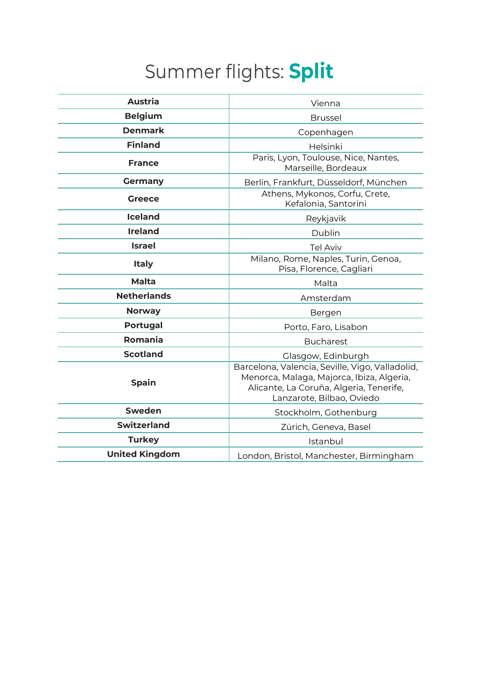## Summer flights: **Split**

| <b>Austria</b>        | Vienna                                                                                                                                                               |
|-----------------------|----------------------------------------------------------------------------------------------------------------------------------------------------------------------|
| <b>Belgium</b>        | <b>Brussel</b>                                                                                                                                                       |
| <b>Denmark</b>        | Copenhagen                                                                                                                                                           |
| <b>Finland</b>        | Helsinki                                                                                                                                                             |
| <b>France</b>         | Paris, Lyon, Toulouse, Nice, Nantes,<br>Marseille, Bordeaux                                                                                                          |
| <b>Germany</b>        | Berlin, Frankfurt, Düsseldorf, München                                                                                                                               |
| <b>Greece</b>         | Athens, Mykonos, Corfu, Crete,<br>Kefalonia, Santorini                                                                                                               |
| <b>Iceland</b>        | Reykjavik                                                                                                                                                            |
| <b>Ireland</b>        | Dublin                                                                                                                                                               |
| <b>Israel</b>         | <b>Tel Aviv</b>                                                                                                                                                      |
| <b>Italy</b>          | Milano, Rome, Naples, Turin, Genoa,<br>Pisa, Florence, Cagliari                                                                                                      |
| <b>Malta</b>          | Malta                                                                                                                                                                |
| <b>Netherlands</b>    | Amsterdam                                                                                                                                                            |
| <b>Norway</b>         | Bergen                                                                                                                                                               |
| <b>Portugal</b>       | Porto, Faro, Lisabon                                                                                                                                                 |
| Romania               | <b>Bucharest</b>                                                                                                                                                     |
| <b>Scotland</b>       | Glasgow, Edinburgh                                                                                                                                                   |
| <b>Spain</b>          | Barcelona, Valencia, Seville, Vigo, Valladolid,<br>Menorca, Malaga, Majorca, Ibiza, Algeria,<br>Alicante, La Coruña, Algeria, Tenerife,<br>Lanzarote, Bilbao, Oviedo |
| <b>Sweden</b>         | Stockholm, Gothenburg                                                                                                                                                |
| <b>Switzerland</b>    | Zürich, Geneva, Basel                                                                                                                                                |
| <b>Turkey</b>         | Istanbul                                                                                                                                                             |
| <b>United Kingdom</b> | London, Bristol, Manchester, Birmingham                                                                                                                              |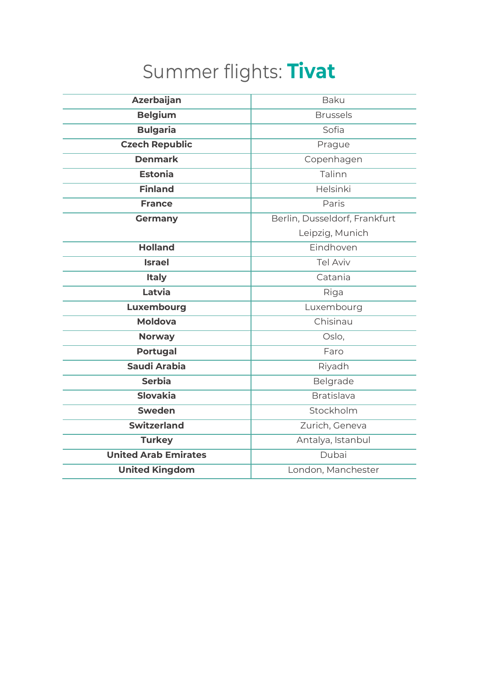## Summer flights: **Tivat**

| <b>Azerbaijan</b>           | <b>Baku</b>                   |
|-----------------------------|-------------------------------|
| <b>Belgium</b>              | <b>Brussels</b>               |
|                             |                               |
| <b>Bulgaria</b>             | Sofia                         |
| <b>Czech Republic</b>       | Prague                        |
| <b>Denmark</b>              | Copenhagen                    |
| <b>Estonia</b>              | Talinn                        |
| <b>Finland</b>              | Helsinki                      |
| <b>France</b>               | Paris                         |
| <b>Germany</b>              | Berlin, Dusseldorf, Frankfurt |
|                             | Leipzig, Munich               |
| <b>Holland</b>              | Eindhoven                     |
| <b>Israel</b>               | <b>Tel Aviv</b>               |
| <b>Italy</b>                | Catania                       |
| Latvia                      | Riga                          |
| Luxembourg                  | Luxembourg                    |
| <b>Moldova</b>              | Chisinau                      |
| <b>Norway</b>               | Oslo,                         |
| <b>Portugal</b>             | Faro                          |
| Saudi Arabia                | Riyadh                        |
| <b>Serbia</b>               | Belgrade                      |
| <b>Slovakia</b>             | <b>Bratislava</b>             |
| <b>Sweden</b>               | Stockholm                     |
| <b>Switzerland</b>          | Zurich, Geneva                |
| <b>Turkey</b>               | Antalya, Istanbul             |
| <b>United Arab Emirates</b> | Dubai                         |
| <b>United Kingdom</b>       | London, Manchester            |